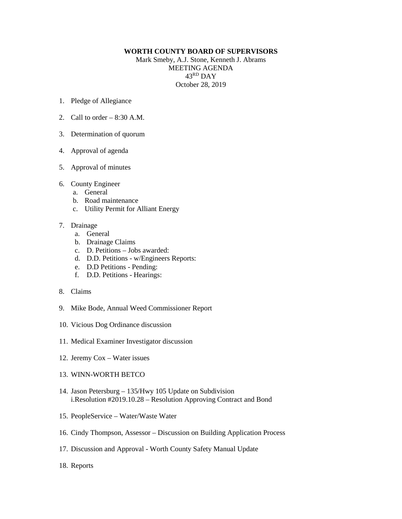## **WORTH COUNTY BOARD OF SUPERVISORS**

Mark Smeby, A.J. Stone, Kenneth J. Abrams MEETING AGENDA 43RD DAY October 28, 2019

- 1. Pledge of Allegiance
- 2. Call to order  $-8:30$  A.M.
- 3. Determination of quorum
- 4. Approval of agenda
- 5. Approval of minutes
- 6. County Engineer
	- a. General
	- b. Road maintenance
	- c. Utility Permit for Alliant Energy
- 7. Drainage
	- a. General
	- b. Drainage Claims
	- c. D. Petitions Jobs awarded:
	- d. D.D. Petitions w/Engineers Reports:
	- e. D.D Petitions Pending:
	- f. D.D. Petitions Hearings:
- 8. Claims
- 9. Mike Bode, Annual Weed Commissioner Report
- 10. Vicious Dog Ordinance discussion
- 11. Medical Examiner Investigator discussion
- 12. Jeremy Cox Water issues
- 13. WINN-WORTH BETCO
- 14. Jason Petersburg 135/Hwy 105 Update on Subdivision i.Resolution #2019.10.28 – Resolution Approving Contract and Bond
- 15. PeopleService Water/Waste Water
- 16. Cindy Thompson, Assessor Discussion on Building Application Process
- 17. Discussion and Approval Worth County Safety Manual Update
- 18. Reports